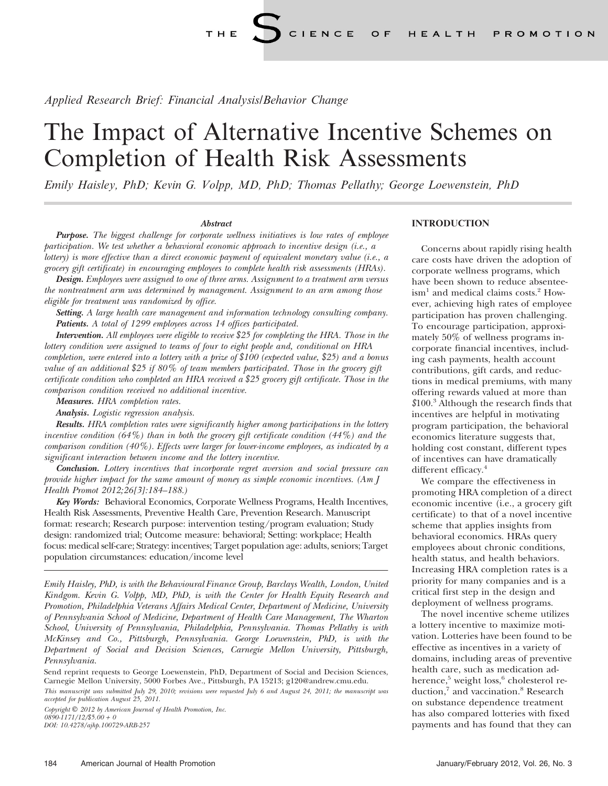Applied Research Brief: Financial Analysis/Behavior Change

# The Impact of Alternative Incentive Schemes on Completion of Health Risk Assessments

Emily Haisley, PhD; Kevin G. Volpp, MD, PhD; Thomas Pellathy; George Loewenstein, PhD

## Abstract

**Purpose.** The biggest challenge for corporate wellness initiatives is low rates of employee participation. We test whether a behavioral economic approach to incentive design (i.e., a lottery) is more effective than a direct economic payment of equivalent monetary value (i.e., a grocery gift certificate) in encouraging employees to complete health risk assessments (HRAs).

Design. Employees were assigned to one of three arms. Assignment to a treatment arm versus the nontreatment arm was determined by management. Assignment to an arm among those eligible for treatment was randomized by office.

Setting. A large health care management and information technology consulting company. Patients. A total of 1299 employees across 14 offices participated.

Intervention. All employees were eligible to receive \$25 for completing the HRA. Those in the lottery condition were assigned to teams of four to eight people and, conditional on HRA completion, were entered into a lottery with a prize of \$100 (expected value, \$25) and a bonus value of an additional \$25 if 80% of team members participated. Those in the grocery gift certificate condition who completed an HRA received a \$25 grocery gift certificate. Those in the comparison condition received no additional incentive.

Measures. HRA completion rates.

Analysis. Logistic regression analysis.

Results. HRA completion rates were significantly higher among participations in the lottery incentive condition (64%) than in both the grocery gift certificate condition (44%) and the comparison condition (40%). Effects were larger for lower-income employees, as indicated by a significant interaction between income and the lottery incentive.

Conclusion. Lottery incentives that incorporate regret aversion and social pressure can provide higher impact for the same amount of money as simple economic incentives. (Am J Health Promot 2012;26[3]:184–188.)

Key Words: Behavioral Economics, Corporate Wellness Programs, Health Incentives, Health Risk Assessments, Preventive Health Care, Prevention Research. Manuscript format: research; Research purpose: intervention testing/program evaluation; Study design: randomized trial; Outcome measure: behavioral; Setting: workplace; Health focus: medical self-care; Strategy: incentives; Target population age: adults, seniors; Target population circumstances: education/income level

Emily Haisley, PhD, is with the Behavioural Finance Group, Barclays Wealth, London, United Kindgom. Kevin G. Volpp, MD, PhD, is with the Center for Health Equity Research and Promotion, Philadelphia Veterans Affairs Medical Center, Department of Medicine, University of Pennsylvania School of Medicine, Department of Health Care Management, The Wharton School, University of Pennsylvania, Philadelphia, Pennsylvania. Thomas Pellathy is with McKinsey and Co., Pittsburgh, Pennsylvania. George Loewenstein, PhD, is with the Department of Social and Decision Sciences, Carnegie Mellon University, Pittsburgh, Pennsylvania.

Send reprint requests to George Loewenstein, PhD, Department of Social and Decision Sciences, Carnegie Mellon University, 5000 Forbes Ave., Pittsburgh, PA 15213; g120@andrew.cmu.edu.

This manuscript was submitted July 29, 2010; revisions were requested July 6 and August 24, 2011; the manuscript was accepted for publication August 25, 2011.

Copyright  $\mathbb{O}$  2012 by American Journal of Health Promotion, Inc.  $0890 - 1171/12$ /\$5.00 + 0 DOI: 10.4278/ajhp.100729-ARB-257

## **INTRODUCTION**

Concerns about rapidly rising health care costs have driven the adoption of corporate wellness programs, which have been shown to reduce absentee $ism<sup>1</sup>$  and medical claims costs.<sup>2</sup> However, achieving high rates of employee participation has proven challenging. To encourage participation, approximately 50% of wellness programs incorporate financial incentives, including cash payments, health account contributions, gift cards, and reductions in medical premiums, with many offering rewards valued at more than  $$100.<sup>3</sup>$  Although the research finds that incentives are helpful in motivating program participation, the behavioral economics literature suggests that, holding cost constant, different types of incentives can have dramatically different efficacy.<sup>4</sup>

We compare the effectiveness in promoting HRA completion of a direct economic incentive (i.e., a grocery gift certificate) to that of a novel incentive scheme that applies insights from behavioral economics. HRAs query employees about chronic conditions, health status, and health behaviors. Increasing HRA completion rates is a priority for many companies and is a critical first step in the design and deployment of wellness programs.

The novel incentive scheme utilizes a lottery incentive to maximize motivation. Lotteries have been found to be effective as incentives in a variety of domains, including areas of preventive health care, such as medication adherence,<sup>5</sup> weight loss,<sup>6</sup> cholesterol reduction,<sup>7</sup> and vaccination.<sup>8</sup> Research on substance dependence treatment has also compared lotteries with fixed payments and has found that they can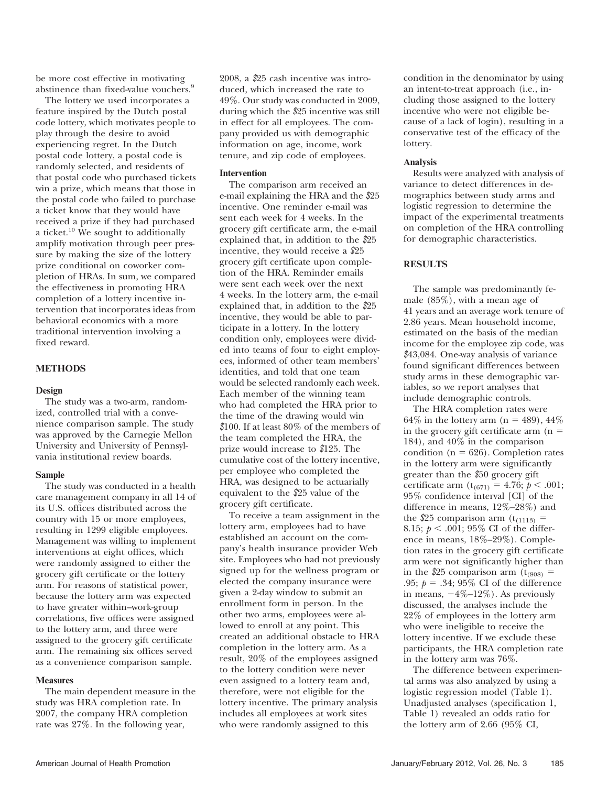be more cost effective in motivating abstinence than fixed-value vouchers.<sup>9</sup>

The lottery we used incorporates a feature inspired by the Dutch postal code lottery, which motivates people to play through the desire to avoid experiencing regret. In the Dutch postal code lottery, a postal code is randomly selected, and residents of that postal code who purchased tickets win a prize, which means that those in the postal code who failed to purchase a ticket know that they would have received a prize if they had purchased a ticket.<sup>10</sup> We sought to additionally amplify motivation through peer pressure by making the size of the lottery prize conditional on coworker completion of HRAs. In sum, we compared the effectiveness in promoting HRA completion of a lottery incentive intervention that incorporates ideas from behavioral economics with a more traditional intervention involving a fixed reward.

## METHODS

## Design

The study was a two-arm, randomized, controlled trial with a convenience comparison sample. The study was approved by the Carnegie Mellon University and University of Pennsylvania institutional review boards.

## Sample

The study was conducted in a health care management company in all 14 of its U.S. offices distributed across the country with 15 or more employees, resulting in 1299 eligible employees. Management was willing to implement interventions at eight offices, which were randomly assigned to either the grocery gift certificate or the lottery arm. For reasons of statistical power, because the lottery arm was expected to have greater within–work-group correlations, five offices were assigned to the lottery arm, and three were assigned to the grocery gift certificate arm. The remaining six offices served as a convenience comparison sample.

## **Measures**

The main dependent measure in the study was HRA completion rate. In 2007, the company HRA completion rate was 27%. In the following year,

2008, a \$25 cash incentive was introduced, which increased the rate to 49%. Our study was conducted in 2009, during which the \$25 incentive was still in effect for all employees. The company provided us with demographic information on age, income, work tenure, and zip code of employees.

## Intervention

The comparison arm received an e-mail explaining the HRA and the \$25 incentive. One reminder e-mail was sent each week for 4 weeks. In the grocery gift certificate arm, the e-mail explained that, in addition to the \$25 incentive, they would receive a \$25 grocery gift certificate upon completion of the HRA. Reminder emails were sent each week over the next 4 weeks. In the lottery arm, the e-mail explained that, in addition to the \$25 incentive, they would be able to participate in a lottery. In the lottery condition only, employees were divided into teams of four to eight employees, informed of other team members' identities, and told that one team would be selected randomly each week. Each member of the winning team who had completed the HRA prior to the time of the drawing would win \$100. If at least 80% of the members of the team completed the HRA, the prize would increase to \$125. The cumulative cost of the lottery incentive, per employee who completed the HRA, was designed to be actuarially equivalent to the \$25 value of the grocery gift certificate.

To receive a team assignment in the lottery arm, employees had to have established an account on the company's health insurance provider Web site. Employees who had not previously signed up for the wellness program or elected the company insurance were given a 2-day window to submit an enrollment form in person. In the other two arms, employees were allowed to enroll at any point. This created an additional obstacle to HRA completion in the lottery arm. As a result, 20% of the employees assigned to the lottery condition were never even assigned to a lottery team and, therefore, were not eligible for the lottery incentive. The primary analysis includes all employees at work sites who were randomly assigned to this

condition in the denominator by using an intent-to-treat approach (i.e., including those assigned to the lottery incentive who were not eligible because of a lack of login), resulting in a conservative test of the efficacy of the lottery.

## Analysis

Results were analyzed with analysis of variance to detect differences in demographics between study arms and logistic regression to determine the impact of the experimental treatments on completion of the HRA controlling for demographic characteristics.

## **RESULTS**

The sample was predominantly female (85%), with a mean age of 41 years and an average work tenure of 2.86 years. Mean household income, estimated on the basis of the median income for the employee zip code, was \$43,084. One-way analysis of variance found significant differences between study arms in these demographic variables, so we report analyses that include demographic controls.

The HRA completion rates were 64% in the lottery arm ( $n = 489$ ), 44% in the grocery gift certificate arm  $(n =$ 184), and 40% in the comparison condition ( $n = 626$ ). Completion rates in the lottery arm were significantly greater than the \$50 grocery gift certificate arm  $(t_{(671)} = 4.76; p < .001;$ 95% confidence interval [CI] of the difference in means, 12%–28%) and the \$25 comparison arm  $(t_{(1113)} =$ 8.15;  $p < .001$ ; 95% CI of the difference in means, 18%–29%). Completion rates in the grocery gift certificate arm were not significantly higher than in the \$25 comparison arm ( $t_{(808)}$  = .95;  $p = .34$ ; 95% CI of the difference in means,  $-4\%$ –12%). As previously discussed, the analyses include the 22% of employees in the lottery arm who were ineligible to receive the lottery incentive. If we exclude these participants, the HRA completion rate in the lottery arm was 76%.

The difference between experimental arms was also analyzed by using a logistic regression model (Table 1). Unadjusted analyses (specification 1, Table 1) revealed an odds ratio for the lottery arm of 2.66 (95% CI,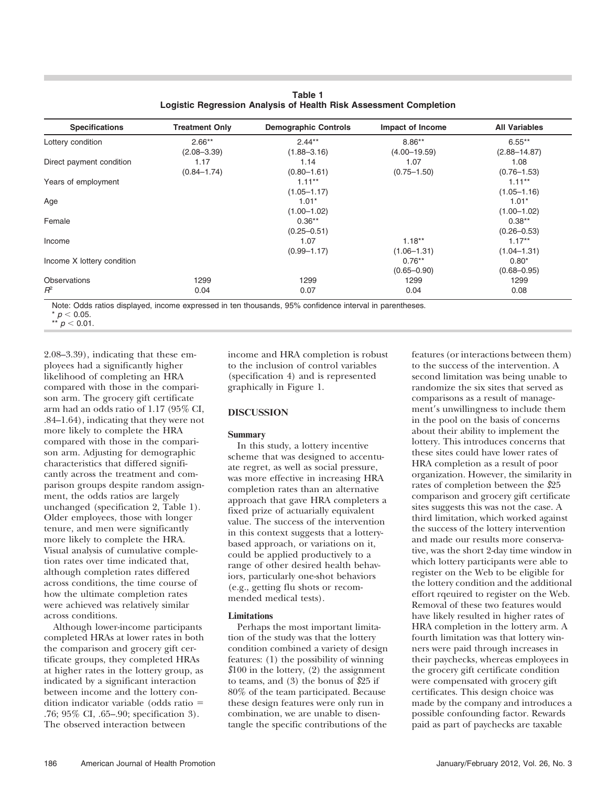| <b>Specifications</b>      | <b>Treatment Only</b> | <b>Demographic Controls</b> | Impact of Income | <b>All Variables</b> |
|----------------------------|-----------------------|-----------------------------|------------------|----------------------|
| Lottery condition          | $2.66**$              | $2.44**$                    | $8.86**$         | $6.55***$            |
|                            | $(2.08 - 3.39)$       | $(1.88 - 3.16)$             | $(4.00 - 19.59)$ | $(2.88 - 14.87)$     |
| Direct payment condition   | 1.17                  | 1.14                        | 1.07             | 1.08                 |
|                            | $(0.84 - 1.74)$       | $(0.80 - 1.61)$             | $(0.75 - 1.50)$  | $(0.76 - 1.53)$      |
| Years of employment        |                       | $1.11***$                   |                  | $1.11***$            |
|                            |                       | $(1.05 - 1.17)$             |                  | $(1.05 - 1.16)$      |
| Age                        |                       | $1.01*$                     |                  | $1.01*$              |
|                            |                       | $(1.00 - 1.02)$             |                  | $(1.00 - 1.02)$      |
| Female                     |                       | $0.36**$                    |                  | $0.38**$             |
|                            |                       | $(0.25 - 0.51)$             |                  | $(0.26 - 0.53)$      |
| Income                     |                       | 1.07                        | $1.18**$         | $1.17**$             |
|                            |                       | $(0.99 - 1.17)$             | $(1.06 - 1.31)$  | $(1.04 - 1.31)$      |
| Income X lottery condition |                       |                             | $0.76**$         | $0.80*$              |
|                            |                       |                             | $(0.65 - 0.90)$  | $(0.68 - 0.95)$      |
| <b>Observations</b>        | 1299                  | 1299                        | 1299             | 1299                 |
| $R^2$                      | 0.04                  | 0.07                        | 0.04             | 0.08                 |

| Table 1 |                                                                   |
|---------|-------------------------------------------------------------------|
|         | Logistic Regression Analysis of Health Risk Assessment Completion |

Note: Odds ratios displayed, income expressed in ten thousands, 95% confidence interval in parentheses.

 $^{\star}$   $\rho$   $<$  0.05. \*\*  $p < 0.01$ .

2.08–3.39), indicating that these employees had a significantly higher likelihood of completing an HRA compared with those in the comparison arm. The grocery gift certificate arm had an odds ratio of 1.17 (95% CI, .84–1.64), indicating that they were not more likely to complete the HRA compared with those in the comparison arm. Adjusting for demographic characteristics that differed significantly across the treatment and comparison groups despite random assignment, the odds ratios are largely unchanged (specification 2, Table 1). Older employees, those with longer tenure, and men were significantly more likely to complete the HRA. Visual analysis of cumulative completion rates over time indicated that, although completion rates differed across conditions, the time course of how the ultimate completion rates were achieved was relatively similar across conditions.

Although lower-income participants completed HRAs at lower rates in both the comparison and grocery gift certificate groups, they completed HRAs at higher rates in the lottery group, as indicated by a significant interaction between income and the lottery condition indicator variable (odds ratio  $=$ .76; 95% CI, .65–.90; specification 3). The observed interaction between

income and HRA completion is robust to the inclusion of control variables (specification 4) and is represented graphically in Figure 1.

## DISCUSSION

## Summary

In this study, a lottery incentive scheme that was designed to accentuate regret, as well as social pressure, was more effective in increasing HRA completion rates than an alternative approach that gave HRA completers a fixed prize of actuarially equivalent value. The success of the intervention in this context suggests that a lotterybased approach, or variations on it, could be applied productively to a range of other desired health behaviors, particularly one-shot behaviors (e.g., getting flu shots or recommended medical tests).

## Limitations

Perhaps the most important limitation of the study was that the lottery condition combined a variety of design features: (1) the possibility of winning  $$100$  in the lottery,  $(2)$  the assignment to teams, and (3) the bonus of \$25 if 80% of the team participated. Because these design features were only run in combination, we are unable to disentangle the specific contributions of the

features (or interactions between them) to the success of the intervention. A second limitation was being unable to randomize the six sites that served as comparisons as a result of management's unwillingness to include them in the pool on the basis of concerns about their ability to implement the lottery. This introduces concerns that these sites could have lower rates of HRA completion as a result of poor organization. However, the similarity in rates of completion between the \$25 comparison and grocery gift certificate sites suggests this was not the case. A third limitation, which worked against the success of the lottery intervention and made our results more conservative, was the short 2-day time window in which lottery participants were able to register on the Web to be eligible for the lottery condition and the additional effort rqeuired to register on the Web. Removal of these two features would have likely resulted in higher rates of HRA completion in the lottery arm. A fourth limitation was that lottery winners were paid through increases in their paychecks, whereas employees in the grocery gift certificate condition were compensated with grocery gift certificates. This design choice was made by the company and introduces a possible confounding factor. Rewards paid as part of paychecks are taxable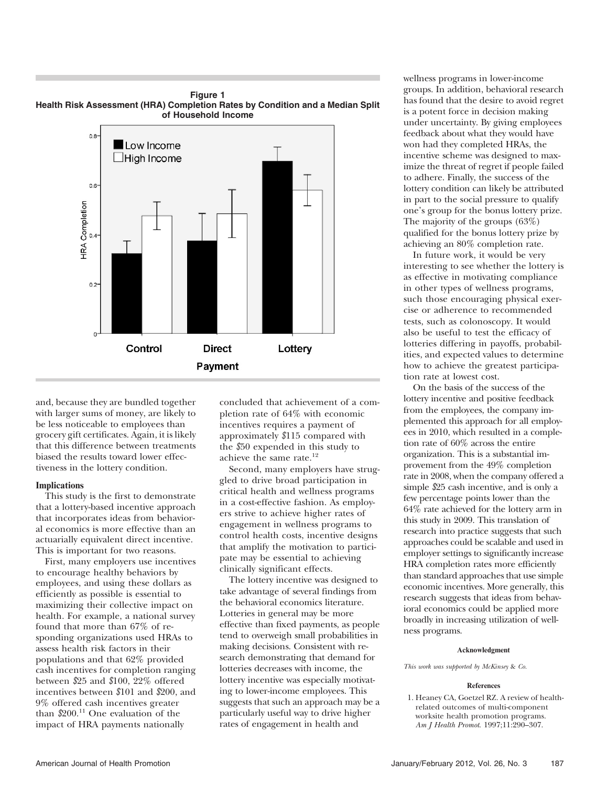

Payment

## Figure 1 Health Risk Assessment (HRA) Completion Rates by Condition and a Median Split

and, because they are bundled together with larger sums of money, are likely to be less noticeable to employees than grocery gift certificates. Again, it is likely that this difference between treatments biased the results toward lower effectiveness in the lottery condition.

## Implications

This study is the first to demonstrate that a lottery-based incentive approach that incorporates ideas from behavioral economics is more effective than an actuarially equivalent direct incentive. This is important for two reasons.

First, many employers use incentives to encourage healthy behaviors by employees, and using these dollars as efficiently as possible is essential to maximizing their collective impact on health. For example, a national survey found that more than 67% of responding organizations used HRAs to assess health risk factors in their populations and that 62% provided cash incentives for completion ranging between \$25 and \$100, 22% offered incentives between \$101 and \$200, and 9% offered cash incentives greater than  $$200.<sup>11</sup>$  One evaluation of the impact of HRA payments nationally

concluded that achievement of a completion rate of 64% with economic incentives requires a payment of approximately \$115 compared with the \$50 expended in this study to achieve the same rate.<sup>12</sup>

Second, many employers have struggled to drive broad participation in critical health and wellness programs in a cost-effective fashion. As employers strive to achieve higher rates of engagement in wellness programs to control health costs, incentive designs that amplify the motivation to participate may be essential to achieving clinically significant effects.

The lottery incentive was designed to take advantage of several findings from the behavioral economics literature. Lotteries in general may be more effective than fixed payments, as people tend to overweigh small probabilities in making decisions. Consistent with research demonstrating that demand for lotteries decreases with income, the lottery incentive was especially motivating to lower-income employees. This suggests that such an approach may be a particularly useful way to drive higher rates of engagement in health and

wellness programs in lower-income groups. In addition, behavioral research has found that the desire to avoid regret is a potent force in decision making under uncertainty. By giving employees feedback about what they would have won had they completed HRAs, the incentive scheme was designed to maximize the threat of regret if people failed to adhere. Finally, the success of the lottery condition can likely be attributed in part to the social pressure to qualify one's group for the bonus lottery prize. The majority of the groups (63%) qualified for the bonus lottery prize by achieving an 80% completion rate.

In future work, it would be very interesting to see whether the lottery is as effective in motivating compliance in other types of wellness programs, such those encouraging physical exercise or adherence to recommended tests, such as colonoscopy. It would also be useful to test the efficacy of lotteries differing in payoffs, probabilities, and expected values to determine how to achieve the greatest participation rate at lowest cost.

On the basis of the success of the lottery incentive and positive feedback from the employees, the company implemented this approach for all employees in 2010, which resulted in a completion rate of 60% across the entire organization. This is a substantial improvement from the 49% completion rate in 2008, when the company offered a simple \$25 cash incentive, and is only a few percentage points lower than the 64% rate achieved for the lottery arm in this study in 2009. This translation of research into practice suggests that such approaches could be scalable and used in employer settings to significantly increase HRA completion rates more efficiently than standard approaches that use simple economic incentives. More generally, this research suggests that ideas from behavioral economics could be applied more broadly in increasing utilization of wellness programs.

## Acknowledgment

This work was supported by McKinsey & Co.

#### References

1. Heaney CA, Goetzel RZ. A review of healthrelated outcomes of multi-component worksite health promotion programs. Am J Health Promot. 1997;11:290–307.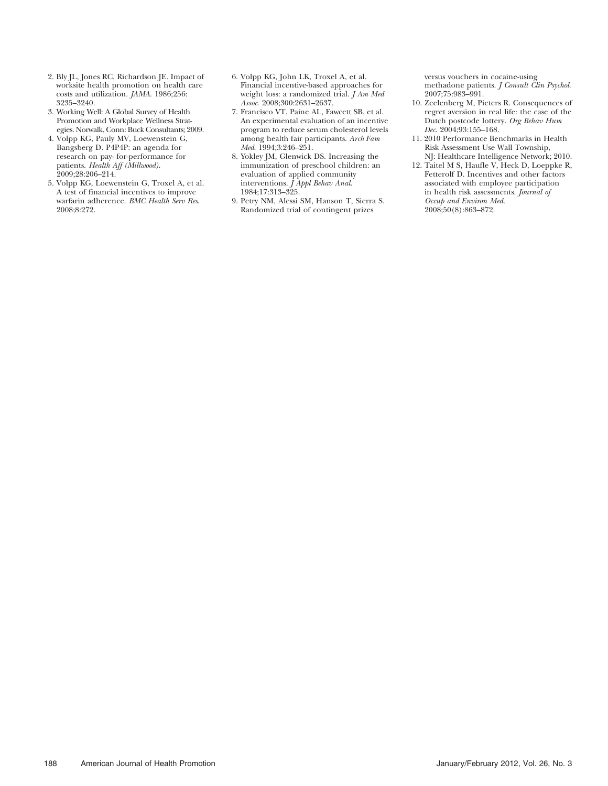- 2. Bly JL, Jones RC, Richardson JE. Impact of worksite health promotion on health care costs and utilization. JAMA. 1986;256: 3235–3240.
- 3. Working Well: A Global Survey of Health Promotion and Workplace Wellness Strategies. Norwalk, Conn: Buck Consultants; 2009.
- 4. Volpp KG, Pauly MV, Loewenstein G, Bangsberg D. P4P4P: an agenda for research on pay- for-performance for patients. Health Aff (Millwood). 2009;28:206–214.
- 5. Volpp KG, Loewenstein G, Troxel A, et al. A test of financial incentives to improve warfarin adherence. BMC Health Serv Res. 2008;8:272.
- 6. Volpp KG, John LK, Troxel A, et al. Financial incentive-based approaches for weight loss: a randomized trial. *J Am Med* Assoc. 2008;300:2631–2637.
- 7. Francisco VT, Paine AL, Fawcett SB, et al. An experimental evaluation of an incentive program to reduce serum cholesterol levels among health fair participants. Arch Fam Med. 1994;3:246–251.
- 8. Yokley JM, Glenwick DS. Increasing the immunization of preschool children: an evaluation of applied community interventions.  $\hat{J}$  Appl Behav Anal. 1984;17:313–325.
- 9. Petry NM, Alessi SM, Hanson T, Sierra S. Randomized trial of contingent prizes

versus vouchers in cocaine-using methadone patients. J Consult Clin Psychol. 2007;75:983–991.

- 10. Zeelenberg M, Pieters R. Consequences of regret aversion in real life: the case of the Dutch postcode lottery. Org Behav Hum Dec. 2004;93:155–168.
- 11. 2010 Performance Benchmarks in Health Risk Assessment Use Wall Township, NJ: Healthcare Intelligence Network; 2010.
- 12. Taitel M S, Haufle V, Heck D, Loeppke R, Fetterolf D. Incentives and other factors associated with employee participation in health risk assessments. Journal of Occup and Environ Med. 2008;50(8):863–872.